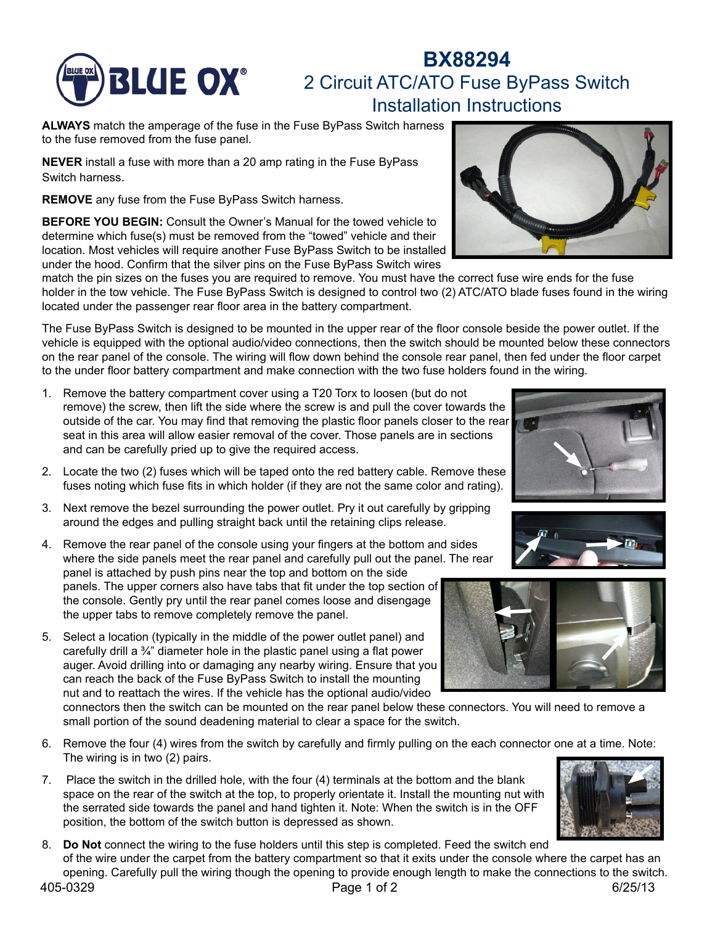

# **BX88294 BLUE OX**<sup>®</sup> 2 Circuit ATC/ATO Fuse ByPass Switch Installation Instructions

**ALWAYS** match the amperage of the fuse in the Fuse ByPass Switch harness to the fuse removed from the fuse panel.

**NEVER** install a fuse with more than a 20 amp rating in the Fuse ByPass Switch harness.

**REMOVE** any fuse from the Fuse ByPass Switch harness.

**BEFORE YOU BEGIN:** Consult the Owner's Manual for the towed vehicle to determine which fuse(s) must be removed from the "towed" vehicle and their location. Most vehicles will require another Fuse ByPass Switch to be installed under the hood. Confirm that the silver pins on the Fuse ByPass Switch wires

match the pin sizes on the fuses you are required to remove. You must have the correct fuse wire ends for the fuse holder in the tow vehicle. The Fuse ByPass Switch is designed to control two (2) ATC/ATO blade fuses found in the wiring located under the passenger rear floor area in the battery compartment.

The Fuse ByPass Switch is designed to be mounted in the upper rear of the floor console beside the power outlet. If the vehicle is equipped with the optional audio/video connections, then the switch should be mounted below these connectors on the rear panel of the console. The wiring will flow down behind the console rear panel, then fed under the floor carpet to the under floor battery compartment and make connection with the two fuse holders found in the wiring.

- 1. Remove the battery compartment cover using a T20 Torx to loosen (but do not remove) the screw, then lift the side where the screw is and pull the cover towards the outside of the car. You may find that removing the plastic floor panels closer to the rear seat in this area will allow easier removal of the cover. Those panels are in sections and can be carefully pried up to give the required access.
- 2. Locate the two (2) fuses which will be taped onto the red battery cable. Remove these fuses noting which fuse fits in which holder (if they are not the same color and rating).
- 3. Next remove the bezel surrounding the power outlet. Pry it out carefully by gripping around the edges and pulling straight back until the retaining clips release.
- 4. Remove the rear panel of the console using your fingers at the bottom and sides where the side panels meet the rear panel and carefully pull out the panel. The rear panel is attached by push pins near the top and bottom on the side panels. The upper corners also have tabs that fit under the top section of the console. Gently pry until the rear panel comes loose and disengage the upper tabs to remove completely remove the panel.
- 5. Select a location (typically in the middle of the power outlet panel) and carefully drill a ¾" diameter hole in the plastic panel using a flat power auger. Avoid drilling into or damaging any nearby wiring. Ensure that you can reach the back of the Fuse ByPass Switch to install the mounting nut and to reattach the wires. If the vehicle has the optional audio/video

connectors then the switch can be mounted on the rear panel below these connectors. You will need to remove a small portion of the sound deadening material to clear a space for the switch.

- 6. Remove the four (4) wires from the switch by carefully and firmly pulling on the each connector one at a time. Note: The wiring is in two (2) pairs.
- 7. Place the switch in the drilled hole, with the four (4) terminals at the bottom and the blank space on the rear of the switch at the top, to properly orientate it. Install the mounting nut with the serrated side towards the panel and hand tighten it. Note: When the switch is in the OFF position, the bottom of the switch button is depressed as shown.
- 8. **Do Not** connect the wiring to the fuse holders until this step is completed. Feed the switch end of the wire under the carpet from the battery compartment so that it exits under the console where the carpet has an opening. Carefully pull the wiring though the opening to provide enough length to make the connections to the switch.











### 405-0329 Page 1 of 2 6/25/13